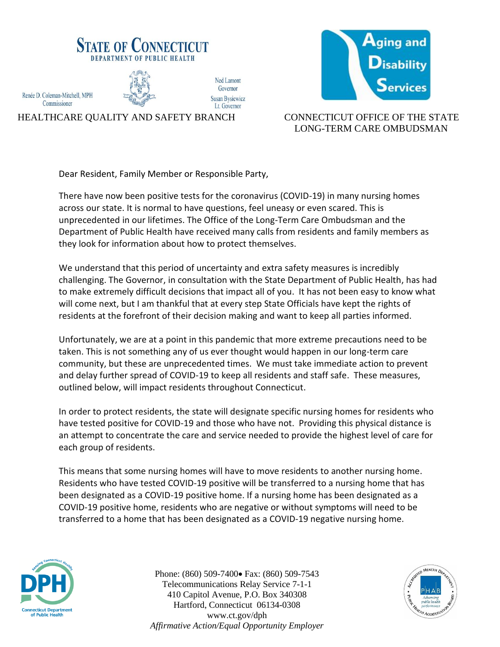



## HEALTHCARE QUALITY AND SAFETY BRANCH CONNECTICUT OFFICE OF THE STATE LONG-TERM CARE OMBUDSMAN

Dear Resident, Family Member or Responsible Party,

There have now been positive tests for the coronavirus (COVID-19) in many nursing homes across our state. It is normal to have questions, feel uneasy or even scared. This is unprecedented in our lifetimes. The Office of the Long-Term Care Ombudsman and the Department of Public Health have received many calls from residents and family members as they look for information about how to protect themselves.

We understand that this period of uncertainty and extra safety measures is incredibly challenging. The Governor, in consultation with the State Department of Public Health, has had to make extremely difficult decisions that impact all of you. It has not been easy to know what will come next, but I am thankful that at every step State Officials have kept the rights of residents at the forefront of their decision making and want to keep all parties informed.

Unfortunately, we are at a point in this pandemic that more extreme precautions need to be taken. This is not something any of us ever thought would happen in our long-term care community, but these are unprecedented times. We must take immediate action to prevent and delay further spread of COVID-19 to keep all residents and staff safe. These measures, outlined below, will impact residents throughout Connecticut.

In order to protect residents, the state will designate specific nursing homes for residents who have tested positive for COVID-19 and those who have not. Providing this physical distance is an attempt to concentrate the care and service needed to provide the highest level of care for each group of residents.

This means that some nursing homes will have to move residents to another nursing home. Residents who have tested COVID-19 positive will be transferred to a nursing home that has been designated as a COVID-19 positive home. If a nursing home has been designated as a COVID-19 positive home, residents who are negative or without symptoms will need to be transferred to a home that has been designated as a COVID-19 negative nursing home.



Phone: (860) 509-7400• Fax: (860) 509-7543 Telecommunications Relay Service 7-1-1 410 Capitol Avenue, P.O. Box 340308 Hartford, Connecticut 06134-0308 www.ct.gov/dph *Affirmative Action/Equal Opportunity Employer*